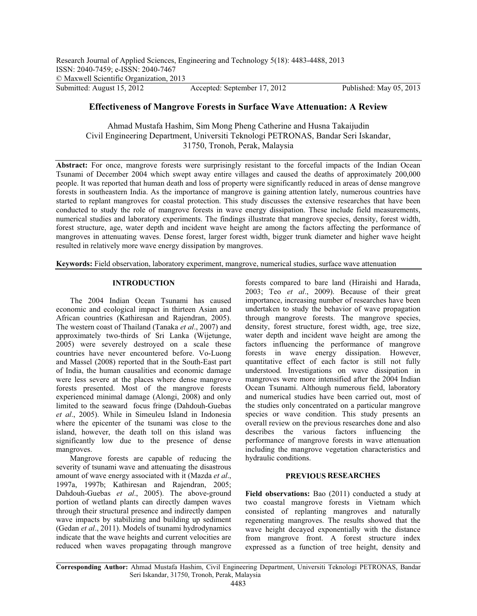# **Effectiveness of Mangrove Forests in Surface Wave Attenuation: A Review**

Ahmad Mustafa Hashim, Sim Mong Pheng Catherine and Husna Takaijudin Civil Engineering Department, Universiti Teknologi PETRONAS, Bandar Seri Iskandar, 31750, Tronoh, Perak, Malaysia

Abstract: For once, mangrove forests were surprisingly resistant to the forceful impacts of the Indian Ocean Tsunami of December 2004 which swept away entire villages and caused the deaths of approximately 200,000 people. It was reported that human death and loss of property were significantly reduced in areas of dense mangrove forests in southeastern India. As the importance of mangrove is gaining attention lately, numerous countries have started to replant mangroves for coastal protection. This study discusses the extensive researches that have been conducted to study the role of mangrove forests in wave energy dissipation. These include field measurements, numerical studies and laboratory experiments. The findings illustrate that mangrove species, density, forest width, forest structure, age, water depth and incident wave height are among the factors affecting the performance of mangroves in attenuating waves. Dense forest, larger forest width, bigger trunk diameter and higher wave height resulted in relatively more wave energy dissipation by mangroves.

**Keywords:** Field observation, laboratory experiment, mangrove, numerical studies, surface wave attenuation

## **INTRODUCTION**

The 2004 Indian Ocean Tsunami has caused economic and ecological impact in thirteen Asian and African countries (Kathiresan and Rajendran, 2005). The western coast of Thailand (Tanaka *et al*., 2007) and approximately two-thirds of Sri Lanka (Wijetunge, 2005) were severely destroyed on a scale these countries have never encountered before. Vo-Luong and Massel (2008) reported that in the South-East part of India, the human causalities and economic damage were less severe at the places where dense mangrove forests presented. Most of the mangrove forests experienced minimal damage (Alongi, 2008) and only limited to the seaward focus fringe (Dahdouh-Guebas *et al*., 2005). While in Simeuleu Island in Indonesia where the epicenter of the tsunami was close to the island, however, the death toll on this island was significantly low due to the presence of dense mangroves.

Mangrove forests are capable of reducing the severity of tsunami wave and attenuating the disastrous amount of wave energy associated with it (Mazda *et al.*, amount of wave energy associated with it (Mazda *et al*., 1997a, 1997b; Kathiresan and Rajendran, 2005; Dahdouh-Guebas *et al*., 2005). The above-ground portion of wetland plants can directly dampen waves through their structural presence and indirectly dampen wave impacts by stabilizing and building up sediment (Gedan *et al*., 2011). Models of tsunami hydrodynamics indicate that the wave heights and current velocities are reduced when waves propagating through mangrove

forests compared to bare land (Hiraishi and Harada, 2003; Teo *et al*., 2009). Because of their great importance, increasing number of researches have been undertaken to study the behavior of wave propagation through mangrove forests. The mangrove species, density, forest structure, forest width, age, tree size, water depth and incident wave height are among the factors influencing the performance of mangrove forests in wave energy dissipation. However, quantitative effect of each factor is still not fully understood. Investigations on wave dissipation in mangroves were more intensified after the 2004 Indian Ocean Tsunami. Although numerous field, laboratory and numerical studies have been carried out, most of the studies only concentrated on a particular mangrove species or wave condition. This study presents an overall review on the previous researches done and also describes the various factors influencing the performance of mangrove forests in wave attenuation including the mangrove vegetation characteristics and hydraulic conditions.

## **PREVIOUS RESEARCHES**

**Field observations:** Bao (2011) conducted a study at two coastal mangrove forests in Vietnam which consisted of replanting mangroves and naturally regenerating mangroves. The results showed that the wave height decayed exponentially with the distance from mangrove front. A forest structure index expressed as a function of tree height, density and

**Corresponding Author:** Ahmad Mustafa Hashim, Civil Engineering Department, Universiti Teknologi PETRONAS, Bandar Seri Iskandar, 31750, Tronoh, Perak, Malaysia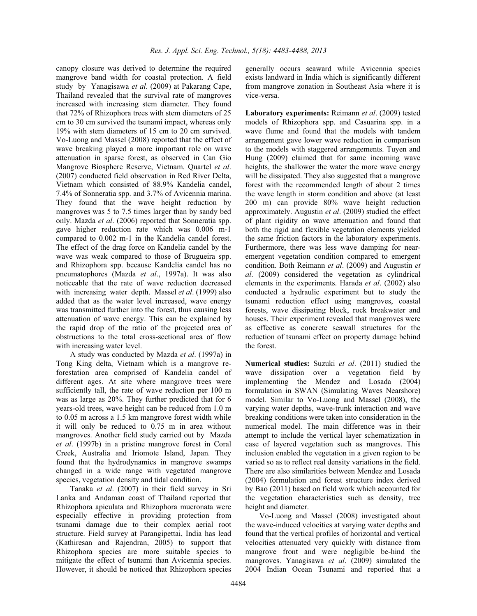canopy closure was derived to determine the required mangrove band width for coastal protection. A field study by Yanagisawa *et al*. (2009) at Pakarang Cape, Thailand revealed that the survival rate of mangroves increased with increasing stem diameter. They found that 72% of Rhizophora trees with stem diameters of 25 cm to 30 cm survived the tsunami impact, whereas only 19% with stem diameters of 15 cm to 20 cm survived. Vo-Luong and Massel (2008) reported that the effect of wave breaking played a more important role on wave attenuation in sparse forest, as observed in Can Gio Mangrove Biosphere Reserve, Vietnam. Quartel *et al*. (2007) conducted field observation in Red River Delta, Vietnam which consisted of 88.9% Kandelia candel, 7.4% of Sonneratia spp. and 3.7% of Avicennia marina. They found that the wave height reduction by mangroves was 5 to 7.5 times larger than by sandy bed only. Mazda *et al*. (2006) reported that Sonneratia spp. gave higher reduction rate which was 0.006 m-1 compared to 0.002 m-1 in the Kandelia candel forest. The effect of the drag force on Kandelia candel by the wave was weak compared to those of Brugueira spp. and Rhizophora spp. because Kandelia candel has no pneumatophores (Mazda *et al*., 1997a). It was also noticeable that the rate of wave reduction decreased with increasing water depth. Massel *et al*. (1999) also added that as the water level increased, wave energy was transmitted further into the forest, thus causing less attenuation of wave energy. This can be explained by the rapid drop of the ratio of the projected area of obstructions to the total cross-sectional area of flow with increasing water level.

A study was conducted by Mazda *et al*. (1997a) in Tong King delta, Vietnam which is a mangrove reforestation area comprised of Kandelia candel of different ages. At site where mangrove trees were sufficiently tall, the rate of wave reduction per 100 m was as large as 20%. They further predicted that for 6 years-old trees, wave height can be reduced from 1.0 m to 0.05 m across a 1.5 km mangrove forest width while it will only be reduced to 0.75 m in area without mangroves. Another field study carried out by Mazda *et al*. (1997b) in a pristine mangrove forest in Coral Creek, Australia and Iriomote Island, Japan. They found that the hydrodynamics in mangrove swamps changed in a wide range with vegetated mangrove species, vegetation density and tidal condition.

Tanaka *et al*. (2007) in their field survey in Sri Lanka and Andaman coast of Thailand reported that Rhizophora apiculata and Rhizophora mucronata were especially effective in providing protection from tsunami damage due to their complex aerial root structure. Field survey at Parangipettai, India has lead (Kathiresan and Rajendran, 2005) to support that Rhizophora species are more suitable species to mitigate the effect of tsunami than Avicennia species. However, it should be noticed that Rhizophora species

generally occurs seaward while Avicennia species exists landward in India which is significantly different from mangrove zonation in Southeast Asia where it is vice-versa.

**Laboratory experiments:** Reimann *et al*. (2009) tested models of Rhizophora spp. and Casuarina spp. in a wave flume and found that the models with tandem arrangement gave lower wave reduction in comparison to the models with staggered arrangements. Tuyen and Hung (2009) claimed that for same incoming wave heights, the shallower the water the more wave energy will be dissipated. They also suggested that a mangrove forest with the recommended length of about 2 times the wave length in storm condition and above (at least 200 m) can provide 80% wave height reduction approximately. Augustin *et al*. (2009) studied the effect of plant rigidity on wave attenuation and found that both the rigid and flexible vegetation elements yielded the same friction factors in the laboratory experiments. Furthermore, there was less wave damping for nearemergent vegetation condition compared to emergent condition. Both Reimann *et al*. (2009) and Augustin *et al*. (2009) considered the vegetation as cylindrical elements in the experiments. Harada *et al*. (2002) also conducted a hydraulic experiment but to study the tsunami reduction effect using mangroves, coastal forests, wave dissipating block, rock breakwater and houses. Their experiment revealed that mangroves were as effective as concrete seawall structures for the reduction of tsunami effect on property damage behind the forest.

**Numerical studies:** Suzuki *et al*. (2011) studied the wave dissipation over a vegetation field by implementing the Mendez and Losada (2004) formulation in SWAN (Simulating Waves Nearshore) model. Similar to Vo-Luong and Massel (2008), the varying water depths, wave-trunk interaction and wave breaking conditions were taken into consideration in the numerical model. The main difference was in their attempt to include the vertical layer schematization in case of layered vegetation such as mangroves. This inclusion enabled the vegetation in a given region to be varied so as to reflect real density variations in the field. There are also similarities between Mendez and Losada (2004) formulation and forest structure index derived by Bao (2011) based on field work which accounted for the vegetation characteristics such as density, tree height and diameter.

Vo-Luong and Massel (2008) investigated about the wave-induced velocities at varying water depths and found that the vertical profiles of horizontal and vertical velocities attenuated very quickly with distance from mangrove front and were negligible be-hind the mangroves. Yanagisawa *et al*. (2009) simulated the 2004 Indian Ocean Tsunami and reported that a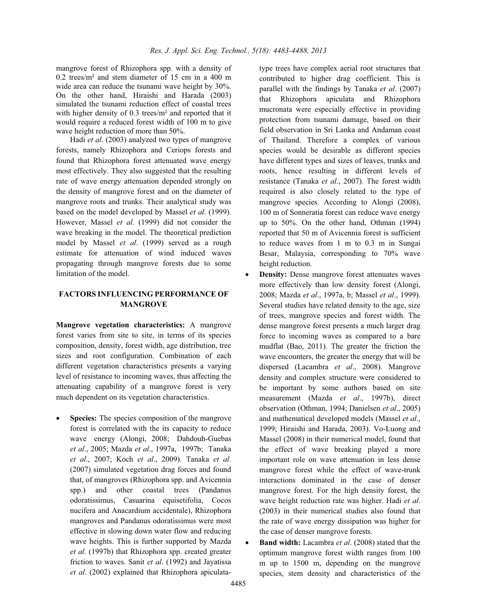mangrove forest of Rhizophora spp. with a density of 0.2 trees/m² and stem diameter of 15 cm in a 400 m wide area can reduce the tsunami wave height by 30%. On the other hand, Hiraishi and Harada (2003) simulated the tsunami reduction effect of coastal trees with higher density of 0.3 trees/m<sup>2</sup> and reported that it would require a reduced forest width of 100 m to give wave height reduction of more than 50%.

Hadi *et al*. (2003) analyzed two types of mangrove forests, namely Rhizophora and Ceriops forests and found that Rhizophora forest attenuated wave energy most effectively. They also suggested that the resulting rate of wave energy attenuation depended strongly on the density of mangrove forest and on the diameter of mangrove roots and trunks. Their analytical study was based on the model developed by Massel *et al*. (1999). However, Massel *et al*. (1999) did not consider the wave breaking in the model. The theoretical prediction model by Massel *et al*. (1999) served as a rough estimate for attenuation of wind induced waves propagating through mangrove forests due to some limitation of the model.

## **FACTORS INFLUENCING PERFORMANCE OF MANGROVE**

**Mangrove vegetation characteristics:** A mangrove forest varies from site to site, in terms of its species composition, density, forest width, age distribution, tree sizes and root configuration. Combination of each different vegetation characteristics presents a varying level of resistance to incoming waves, thus affecting the attenuating capability of a mangrove forest is very much dependent on its vegetation characteristics.

- **Species:** The species composition of the mangrove forest is correlated with the its capacity to reduce wave energy (Alongi, 2008; Dahdouh-Guebas *et al*., 2005; Mazda *et al*., 1997a, 1997b; Tanaka *et al*., 2007; Koch *et al*., 2009). Tanaka *et al*. (2007) simulated vegetation drag forces and found that, of mangroves (Rhizophora spp. and Avicennia spp.) and other coastal trees (Pandanus odoratissimus, Casuarina equisetifolia, Cocos nucifera and Anacardium accidentale), Rhizophora mangroves and Pandanus odoratissimus were most effective in slowing down water flow and reducing wave heights. This is further supported by Mazda *et al*. (1997b) that Rhizophora spp. created greater friction to waves. Sanit *et al*. (1992) and Jayatissa *et al*. (2002) explained that Rhizophora apiculatatype trees have complex aerial root structures that contributed to higher drag coefficient. This is parallel with the findings by Tanaka *et al*. (2007) that Rhizophora apiculata and Rhizophora mucronata were especially effective in providing protection from tsunami damage, based on their field observation in Sri Lanka and Andaman coast of Thailand. Therefore a complex of various species would be desirable as different species have different types and sizes of leaves, trunks and roots, hence resulting in different levels of resistance (Tanaka *et al*., 2007). The forest width required is also closely related to the type of mangrove species. According to Alongi (2008), 100 m of Sonneratia forest can reduce wave energy up to 50%. On the other hand, Othman (1994) reported that 50 m of Avicennia forest is sufficient to reduce waves from 1 m to 0.3 m in Sungai Besar, Malaysia, corresponding to 70% wave height reduction.

- - **Density:** Dense mangrove forest attenuates waves more effectively than low density forest (Alongi, 2008; Mazda *et al*., 1997a, b; Massel *et al*., 1999). Several studies have related density to the age, size of trees, mangrove species and forest width. The dense mangrove forest presents a much larger drag force to incoming waves as compared to a bare mudflat (Bao, 2011). The greater the friction the wave encounters, the greater the energy that will be dispersed (Lacambra *et al*., 2008). Mangrove density and complex structure were considered to be important by some authors based on site measurement (Mazda *et al*., 1997b), direct observation (Othman, 1994; Danielsen *et al*., 2005) and mathematical developed models (Massel *et al*., 1999; Hiraishi and Harada, 2003). Vo-Luong and Massel (2008) in their numerical model, found that the effect of wave breaking played a more important role on wave attenuation in less dense mangrove forest while the effect of wave-trunk interactions dominated in the case of denser mangrove forest. For the high density forest, the wave height reduction rate was higher. Hadi *et al*. (2003) in their numerical studies also found that the rate of wave energy dissipation was higher for the case of denser mangrove forests.
- - **Band width:** Lacambra *et al*. (2008) stated that the optimum mangrove forest width ranges from 100 m up to 1500 m, depending on the mangrove species, stem density and characteristics of the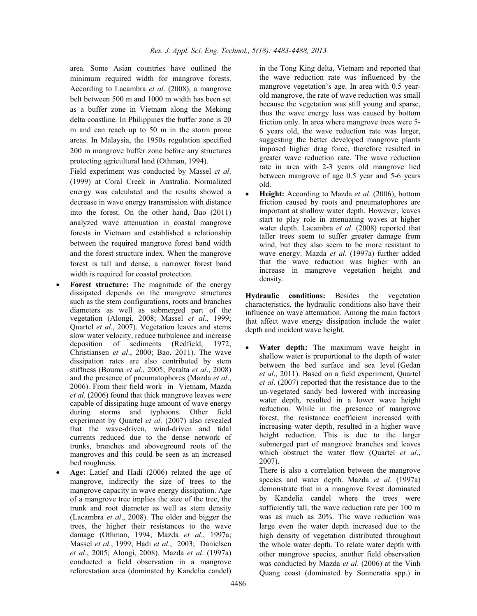area. Some Asian countries have outlined the minimum required width for mangrove forests. According to Lacambra *et al*. (2008), a mangrove belt between 500 m and 1000 m width has been set as a buffer zone in Vietnam along the Mekong delta coastline. In Philippines the buffer zone is 20 m and can reach up to 50 m in the storm prone areas. In Malaysia, the 1950s regulation specified 200 m mangrove buffer zone before any structures protecting agricultural land (Othman, 1994).

Field experiment was conducted by Massel *et al*. (1999) at Coral Creek in Australia. Normalized energy was calculated and the results showed a decrease in wave energy transmission with distance into the forest. On the other hand, Bao (2011) analyzed wave attenuation in coastal mangrove forests in Vietnam and established a relationship between the required mangrove forest band width and the forest structure index. When the mangrove forest is tall and dense, a narrower forest band width is required for coastal protection.

- - **Forest structure:** The magnitude of the energy dissipated depends on the mangrove structures such as the stem configurations, roots and branches diameters as well as submerged part of the vegetation (Alongi, 2008; Massel *et al*., 1999; Quartel *et al*., 2007). Vegetation leaves and stems slow water velocity, reduce turbulence and increase deposition of sediments (Redfield, 1972; Christiansen *et al*., 2000; Bao, 2011). The wave dissipation rates are also contributed by stem stiffness (Bouma *et al.*, 2005; Peralta *et al.*, 2008) and the presence of pneumatophores (Mazda *et al.*, and the presence of pneumatophores (Mazda *et al*., 2006). From their field work in Vietnam, Mazda *et al*. (2006) found that thick mangrove leaves were capable of dissipating huge amount of wave energy during storms and typhoons. Other field experiment by Quartel *et al*. (2007) also revealed that the wave-driven, wind-driven and tidal currents reduced due to the dense network of trunks, branches and aboveground roots of the mangroves and this could be seen as an increased bed roughness.
- - **Age:** Latief and Hadi (2006) related the age of mangrove, indirectly the size of trees to the mangrove capacity in wave energy dissipation. Age of a mangrove tree implies the size of the tree, the trunk and root diameter as well as stem density (Lacambra *et al*., 2008). The older and bigger the trees, the higher their resistances to the wave damage (Othman, 1994; Mazda *et al*., 1997a; Massel *et al*., 1999; Hadi *et al*., 2003; Danielsen *et al*., 2005; Alongi, 2008). Mazda *et al*. (1997a) conducted a field observation in a mangrove reforestation area (dominated by Kandelia candel)

in the Tong King delta, Vietnam and reported that the wave reduction rate was influenced by the mangrove vegetation's age. In area with 0.5 yearold mangrove, the rate of wave reduction was small because the vegetation was still young and sparse, thus the wave energy loss was caused by bottom friction only. In area where mangrove trees were 5- 6 years old, the wave reduction rate was larger, suggesting the better developed mangrove plants imposed higher drag force, therefore resulted in greater wave reduction rate. The wave reduction rate in area with 2-3 years old mangrove lied between mangrove of age 0.5 year and 5-6 years old.

- **Height:** According to Mazda *et al*. (2006), bottom friction caused by roots and pneumatophores are important at shallow water depth. However, leaves start to play role in attenuating waves at higher water depth. Lacambra *et al*. (2008) reported that taller trees seem to suffer greater damage from wind, but they also seem to be more resistant to wave energy. Mazda *et al*. (1997a) further added that the wave reduction was higher with an increase in mangrove vegetation height and density.

**Hydraulic conditions:** Besides the vegetation characteristics, the hydraulic conditions also have their influence on wave attenuation. Among the main factors that affect wave energy dissipation include the water depth and incident wave height.

- **Water depth:** The maximum wave height in shallow water is proportional to the depth of water between the bed surface and sea level (Gedan *et al*., 2011). Based on a field experiment, Quartel *et al*. (2007) reported that the resistance due to the un-vegetated sandy bed lowered with increasing water depth, resulted in a lower wave height reduction. While in the presence of mangrove forest, the resistance coefficient increased with increasing water depth, resulted in a higher wave height reduction. This is due to the larger submerged part of mangrove branches and leaves which obstruct the water flow (Quartel *et al*., 2007).

There is also a correlation between the mangrove species and water depth. Mazda *et al*. (1997a) demonstrate that in a mangrove forest dominated by Kandelia candel where the trees were sufficiently tall, the wave reduction rate per 100 m was as much as 20%. The wave reduction was large even the water depth increased due to the high density of vegetation distributed throughout the whole water depth. To relate water depth with other mangrove species, another field observation was conducted by Mazda *et al*. (2006) at the Vinh Quang coast (dominated by Sonneratia spp.) in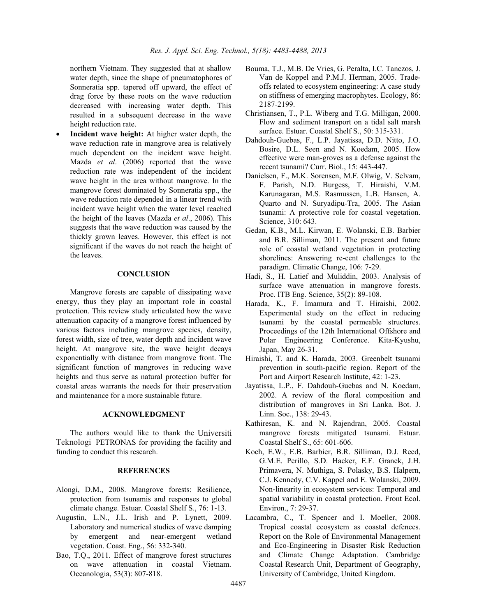northern Vietnam. They suggested that at shallow water depth, since the shape of pneumatophores of Sonneratia spp. tapered off upward, the effect of drag force by these roots on the wave reduction decreased with increasing water depth. This resulted in a subsequent decrease in the wave height reduction rate.

- **Incident wave height:** At higher water depth, the wave reduction rate in mangrove area is relatively much dependent on the incident wave height. Mazda *et al*. (2006) reported that the wave reduction rate was independent of the incident wave height in the area without mangrove. In the mangrove forest dominated by Sonneratia spp., the wave reduction rate depended in a linear trend with incident wave height when the water level reached the height of the leaves (Mazda *et al*., 2006). This suggests that the wave reduction was caused by the thickly grown leaves. However, this effect is not significant if the waves do not reach the height of the leaves.

### **CONCLUSION**

Mangrove forests are capable of dissipating wave energy, thus they play an important role in coastal protection. This review study articulated how the wave attenuation capacity of a mangrove forest influenced by various factors including mangrove species, density, forest width, size of tree, water depth and incident wave height. At mangrove site, the wave height decays exponentially with distance from mangrove front. The significant function of mangroves in reducing wave heights and thus serve as natural protection buffer for coastal areas warrants the needs for their preservation and maintenance for a more sustainable future.

#### **ACKNOWLEDGMENT**

The authors would like to thank the Universiti Teknologi PETRONAS for providing the facility and funding to conduct this research.

### **REFERENCES**

- Alongi, D.M., 2008. Mangrove forests: Resilience, protection from tsunamis and responses to global climate change. Estuar. Coastal Shelf S., 76: 1-13.
- Augustin, L.N., J.L. Irish and P. Lynett, 2009. Laboratory and numerical studies of wave damping by emergent and near-emergent wetland vegetation. Coast. Eng., 56: 332-340.
- Bao, T.Q., 2011. Effect of mangrove forest structures on wave attenuation in coastal Vietnam. Oceanologia, 53(3): 807-818.
- Bouma, T.J., M.B. De Vries, G. Peralta, I.C. Tanczos, J. Van de Koppel and P.M.J. Herman, 2005. Tradeoffs related to ecosystem engineering: A case study on stiffness of emerging macrophytes. Ecology, 86: 2187-2199.
- Christiansen, T., P.L. Wiberg and T.G. Milligan, 2000. Flow and sediment transport on a tidal salt marsh surface. Estuar. Coastal Shelf S., 50: 315-331.
- Dahdouh-Guebas, F., L.P. Jayatissa, D.D. Nitto, J.O. Bosire, D.L. Seen and N. Koedam, 2005. How effective were man-groves as a defense against the recent tsunami? Curr. Biol., 15: 443-447.
- Danielsen, F., M.K. Sorensen, M.F. Olwig, V. Selvam, F. Parish, N.D. Burgess, T. Hiraishi, V.M. Karunagaran, M.S. Rasmussen, L.B. Hansen, A. Quarto and N. Suryadipu-Tra, 2005. The Asian tsunami: A protective role for coastal vegetation. Science, 310: 643.
- Gedan, K.B., M.L. Kirwan, E. Wolanski, E.B. Barbier and B.R. Silliman, 2011. The present and future role of coastal wetland vegetation in protecting shorelines: Answering re-cent challenges to the paradigm. Climatic Change, 106: 7-29.
- Hadi, S., H. Latief and Muliddin, 2003. Analysis of surface wave attenuation in mangrove forests. Proc. ITB Eng. Science, 35(2): 89-108.
- Harada, K., F. Imamura and T. Hiraishi, 2002. Experimental study on the effect in reducing tsunami by the coastal permeable structures. Proceedings of the 12th International Offshore and Polar Engineering Conference. Kita-Kyushu, Japan, May 26-31.
- Hiraishi, T. and K. Harada, 2003. Greenbelt tsunami prevention in south-pacific region. Report of the Port and Airport Research Institute, 42: 1-23.
- Jayatissa, L.P., F. Dahdouh-Guebas and N. Koedam, 2002. A review of the floral composition and distribution of mangroves in Sri Lanka. Bot. J. Linn. Soc., 138: 29-43.
- Kathiresan, K. and N. Rajendran, 2005. Coastal mangrove forests mitigated tsunami. Estuar. Coastal Shelf S., 65: 601-606.
- Koch, E.W., E.B. Barbier, B.R. Silliman, D.J. Reed, G.M.E. Perillo, S.D. Hacker, E.F. Granek, J.H. Primavera, N. Muthiga, S. Polasky, B.S. Halpern, C.J. Kennedy, C.V. Kappel and E. Wolanski, 2009. Non-linearity in ecosystem services: Temporal and spatial variability in coastal protection. Front Ecol. Environ., 7: 29-37.
- Lacambra, C., T. Spencer and I. Moeller, 2008. Tropical coastal ecosystem as coastal defences. Report on the Role of Environmental Management and Eco-Engineering in Disaster Risk Reduction and Climate Change Adaptation. Cambridge Coastal Research Unit, Department of Geography, University of Cambridge, United Kingdom.